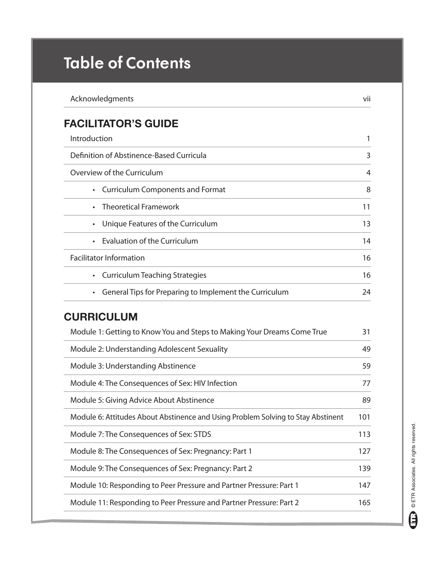## **Table of Contents**

| Acknowledgments                                                                  | vii            |
|----------------------------------------------------------------------------------|----------------|
| <b>FACILITATOR'S GUIDE</b>                                                       |                |
| Introduction                                                                     | 1              |
| Definition of Abstinence-Based Curricula                                         | 3              |
| Overview of the Curriculum                                                       | $\overline{4}$ |
| <b>Curriculum Components and Format</b><br>$\bullet$                             | 8              |
| <b>Theoretical Framework</b>                                                     | 11             |
| Unique Features of the Curriculum<br>$\bullet$                                   | 13             |
| <b>Evaluation of the Curriculum</b>                                              | 14             |
| <b>Facilitator Information</b>                                                   | 16             |
| <b>Curriculum Teaching Strategies</b><br>$\bullet$                               | 16             |
| General Tips for Preparing to Implement the Curriculum<br>$\bullet$              | 24             |
| <b>CURRICULUM</b>                                                                |                |
| Module 1: Getting to Know You and Steps to Making Your Dreams Come True          | 31             |
| Module 2: Understanding Adolescent Sexuality                                     | 49             |
| Module 3: Understanding Abstinence                                               | 59             |
| Module 4: The Consequences of Sex: HIV Infection                                 | 77             |
| Module 5: Giving Advice About Abstinence                                         | 89             |
| Module 6: Attitudes About Abstinence and Using Problem Solving to Stay Abstinent | 101            |
| Module 7: The Consequences of Sex: STDS                                          | 113            |
| Module 8: The Consequences of Sex: Pregnancy: Part 1                             | 127            |
| Module 9: The Consequences of Sex: Pregnancy: Part 2                             | 139            |
| Module 10: Responding to Peer Pressure and Partner Pressure: Part 1              | 147            |
| Module 11: Responding to Peer Pressure and Partner Pressure: Part 2              | 165            |
|                                                                                  |                |